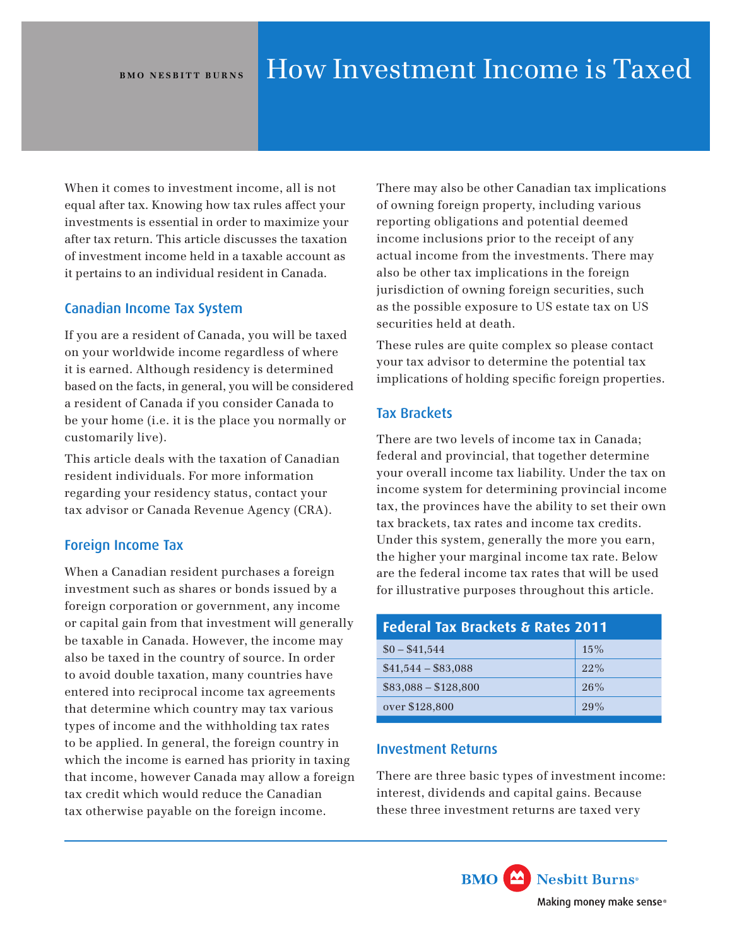When it comes to investment income, all is not equal after tax. Knowing how tax rules affect your investments is essential in order to maximize your after tax return. This article discusses the taxation of investment income held in a taxable account as it pertains to an individual resident in Canada.

# Canadian Income Tax System

If you are a resident of Canada, you will be taxed on your worldwide income regardless of where it is earned. Although residency is determined based on the facts, in general, you will be considered a resident of Canada if you consider Canada to be your home (i.e. it is the place you normally or customarily live).

This article deals with the taxation of Canadian resident individuals. For more information regarding your residency status, contact your tax advisor or Canada Revenue Agency (CRA).

# Foreign Income Tax

When a Canadian resident purchases a foreign investment such as shares or bonds issued by a foreign corporation or government, any income or capital gain from that investment will generally be taxable in Canada. However, the income may also be taxed in the country of source. In order to avoid double taxation, many countries have entered into reciprocal income tax agreements that determine which country may tax various types of income and the withholding tax rates to be applied. In general, the foreign country in which the income is earned has priority in taxing that income, however Canada may allow a foreign tax credit which would reduce the Canadian tax otherwise payable on the foreign income.

There may also be other Canadian tax implications of owning foreign property, including various reporting obligations and potential deemed income inclusions prior to the receipt of any actual income from the investments. There may also be other tax implications in the foreign jurisdiction of owning foreign securities, such as the possible exposure to US estate tax on US securities held at death.

These rules are quite complex so please contact your tax advisor to determine the potential tax implications of holding specific foreign properties.

# Tax Brackets

There are two levels of income tax in Canada; federal and provincial, that together determine your overall income tax liability. Under the tax on income system for determining provincial income tax, the provinces have the ability to set their own tax brackets, tax rates and income tax credits. Under this system, generally the more you earn, the higher your marginal income tax rate. Below are the federal income tax rates that will be used for illustrative purposes throughout this article.

| <b>Federal Tax Brackets &amp; Rates 2011</b> |     |  |  |  |
|----------------------------------------------|-----|--|--|--|
| $$0 - $41,544$                               | 15% |  |  |  |
| $$41,544 - $83,088$                          | 22% |  |  |  |
| $$83,088 - $128,800$                         | 26% |  |  |  |
| over \$128,800                               | 29% |  |  |  |

# Investment Returns

There are three basic types of investment income: interest, dividends and capital gains. Because these three investment returns are taxed very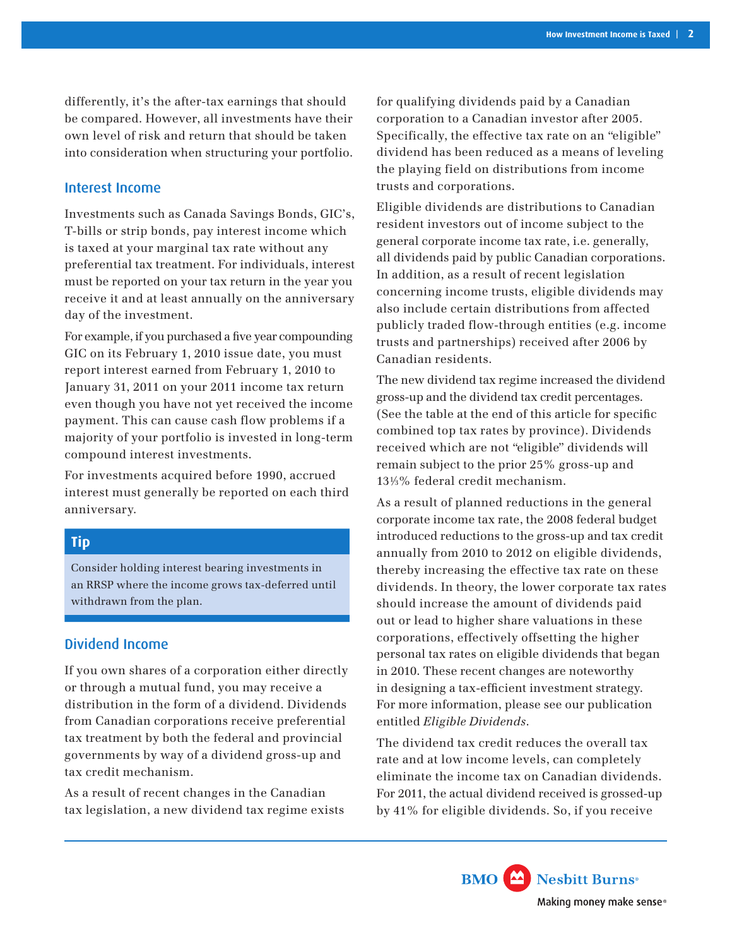differently, it's the after-tax earnings that should be compared. However, all investments have their own level of risk and return that should be taken into consideration when structuring your portfolio.

#### Interest Income

Investments such as Canada Savings Bonds, GIC's, T-bills or strip bonds, pay interest income which is taxed at your marginal tax rate without any preferential tax treatment. For individuals, interest must be reported on your tax return in the year you receive it and at least annually on the anniversary day of the investment.

For example, if you purchased a five year compounding GIC on its February 1, 2010 issue date, you must report interest earned from February 1, 2010 to January 31, 2011 on your 2011 income tax return even though you have not yet received the income payment. This can cause cash flow problems if a majority of your portfolio is invested in long-term compound interest investments.

For investments acquired before 1990, accrued interest must generally be reported on each third anniversary.

# **Tip**

Consider holding interest bearing investments in an RRSP where the income grows tax-deferred until withdrawn from the plan.

# Dividend Income

If you own shares of a corporation either directly or through a mutual fund, you may receive a distribution in the form of a dividend. Dividends from Canadian corporations receive preferential tax treatment by both the federal and provincial governments by way of a dividend gross-up and tax credit mechanism.

As a result of recent changes in the Canadian tax legislation, a new dividend tax regime exists for qualifying dividends paid by a Canadian corporation to a Canadian investor after 2005. Specifically, the effective tax rate on an "eligible" dividend has been reduced as a means of leveling the playing field on distributions from income trusts and corporations.

Eligible dividends are distributions to Canadian resident investors out of income subject to the general corporate income tax rate, i.e. generally, all dividends paid by public Canadian corporations. In addition, as a result of recent legislation concerning income trusts, eligible dividends may also include certain distributions from affected publicly traded flow-through entities (e.g. income trusts and partnerships) received after 2006 by Canadian residents.

The new dividend tax regime increased the dividend gross-up and the dividend tax credit percentages. (See the table at the end of this article for specific combined top tax rates by province). Dividends received which are not "eligible" dividends will remain subject to the prior 25% gross-up and 131⁄3% federal credit mechanism.

As a result of planned reductions in the general corporate income tax rate, the 2008 federal budget introduced reductions to the gross-up and tax credit annually from 2010 to 2012 on eligible dividends, thereby increasing the effective tax rate on these dividends. In theory, the lower corporate tax rates should increase the amount of dividends paid out or lead to higher share valuations in these corporations, effectively offsetting the higher personal tax rates on eligible dividends that began in 2010. These recent changes are noteworthy in designing a tax-efficient investment strategy. For more information, please see our publication entitled *Eligible Dividends*.

The dividend tax credit reduces the overall tax rate and at low income levels, can completely eliminate the income tax on Canadian dividends. For 2011, the actual dividend received is grossed-up by 41% for eligible dividends. So, if you receive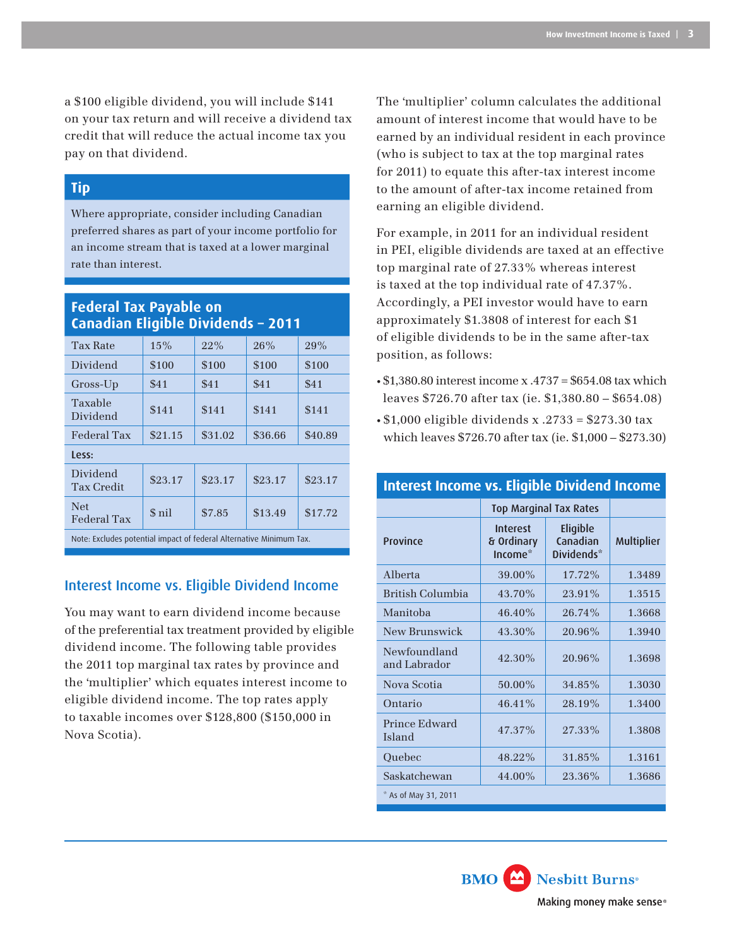a \$100 eligible dividend, you will include \$141 on your tax return and will receive a dividend tax credit that will reduce the actual income tax you pay on that dividend.

### **Tip**

Where appropriate, consider including Canadian preferred shares as part of your income portfolio for an income stream that is taxed at a lower marginal rate than interest.

# **Federal Tax Payable on Canadian Eligible Dividends – 2011**

| <b>Tax Rate</b>                                                     | 15%     | 22%     | 26%     | 29%     |  |  |
|---------------------------------------------------------------------|---------|---------|---------|---------|--|--|
| Dividend                                                            | \$100   | \$100   | \$100   | \$100   |  |  |
| Gross-Up                                                            | \$41    | \$41    | \$41    | \$41    |  |  |
| Taxable<br>Dividend                                                 | \$141   | \$141   | \$141   | \$141   |  |  |
| <b>Federal Tax</b>                                                  | \$21.15 | \$31.02 | \$36.66 | \$40.89 |  |  |
| Less:                                                               |         |         |         |         |  |  |
| Dividend<br><b>Tax Credit</b>                                       | \$23.17 | \$23.17 | \$23.17 | \$23.17 |  |  |
| <b>Net</b><br><b>Federal Tax</b>                                    | \$ nil  | \$7.85  | \$13.49 | \$17.72 |  |  |
| Note: Excludes potential impact of federal Alternative Minimum Tax. |         |         |         |         |  |  |

# Interest Income vs. Eligible Dividend Income

You may want to earn dividend income because of the preferential tax treatment provided by eligible dividend income. The following table provides the 2011 top marginal tax rates by province and the 'multiplier' which equates interest income to eligible dividend income. The top rates apply to taxable incomes over \$128,800 (\$150,000 in Nova Scotia).

The 'multiplier' column calculates the additional amount of interest income that would have to be earned by an individual resident in each province (who is subject to tax at the top marginal rates for 2011) to equate this after-tax interest income to the amount of after-tax income retained from earning an eligible dividend.

For example, in 2011 for an individual resident in PEI, eligible dividends are taxed at an effective top marginal rate of 27.33% whereas interest is taxed at the top individual rate of 47.37%. Accordingly, a PEI investor would have to earn approximately \$1.3808 of interest for each \$1 of eligible dividends to be in the same after-tax position, as follows:

- $\cdot$  \$1,380.80 interest income x .4737 = \$654.08 tax which leaves \$726.70 after tax (ie. \$1,380.80 – \$654.08)
- \$1,000 eligible dividends x .2733 = \$273.30 tax which leaves \$726.70 after tax (ie. \$1,000 – \$273.30)

### **Interest Income vs. Eligible Dividend Income**

|                              | <b>Top Marginal Tax Rates</b>                        |                                    |                   |  |  |
|------------------------------|------------------------------------------------------|------------------------------------|-------------------|--|--|
| Province                     | <b>Interest</b><br>& Ordinary<br>Income <sup>*</sup> | Eligible<br>Canadian<br>Dividends* | <b>Multiplier</b> |  |  |
| Alberta                      | 39.00%                                               | 17.72%                             | 1.3489            |  |  |
| British Columbia             | 43.70%                                               | 23.91%                             | 1.3515            |  |  |
| Manitoba                     | $46.40\%$                                            | $26.74\%$                          | 1.3668            |  |  |
| New Brunswick                | 43.30%                                               | 20.96%                             | 1.3940            |  |  |
| Newfoundland<br>and Labrador | 42.30%                                               | $20.96\%$                          | 1.3698            |  |  |
| Nova Scotia                  | 50.00%                                               | 34.85%                             | 1.3030            |  |  |
| Ontario                      | 46.41%                                               | 28.19%                             | 1.3400            |  |  |
| Prince Edward<br>Island      | 47.37%                                               | 27.33%                             | 1.3808            |  |  |
| Ouebec                       | 48.22%                                               | 31.85%                             | 1.3161            |  |  |
| Saskatchewan                 | 44.00%                                               | 23.36%                             | 1.3686            |  |  |
| * As of May 31, 2011         |                                                      |                                    |                   |  |  |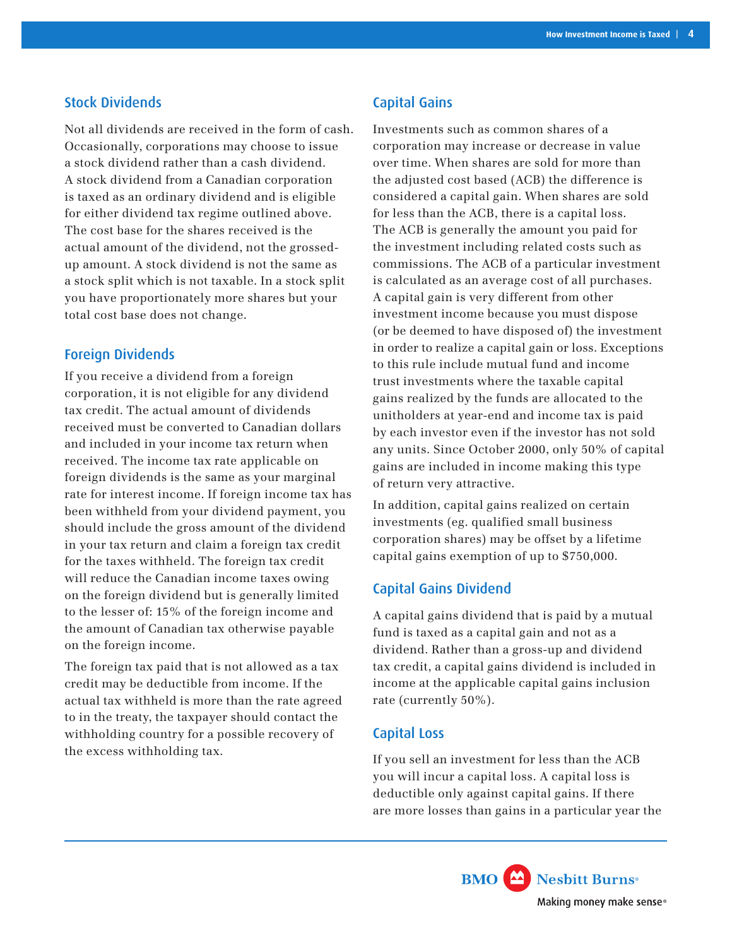### Stock Dividends

Not all dividends are received in the form of cash. Occasionally, corporations may choose to issue a stock dividend rather than a cash dividend. A stock dividend from a Canadian corporation is taxed as an ordinary dividend and is eligible for either dividend tax regime outlined above. The cost base for the shares received is the actual amount of the dividend, not the grossedup amount. A stock dividend is not the same as a stock split which is not taxable. In a stock split you have proportionately more shares but your total cost base does not change.

### Foreign Dividends

If you receive a dividend from a foreign corporation, it is not eligible for any dividend tax credit. The actual amount of dividends received must be converted to Canadian dollars and included in your income tax return when received. The income tax rate applicable on foreign dividends is the same as your marginal rate for interest income. If foreign income tax has been withheld from your dividend payment, you should include the gross amount of the dividend in your tax return and claim a foreign tax credit for the taxes withheld. The foreign tax credit will reduce the Canadian income taxes owing on the foreign dividend but is generally limited to the lesser of: 15% of the foreign income and the amount of Canadian tax otherwise payable on the foreign income.

The foreign tax paid that is not allowed as a tax credit may be deductible from income. If the actual tax withheld is more than the rate agreed to in the treaty, the taxpayer should contact the withholding country for a possible recovery of the excess withholding tax.

# Capital Gains

Investments such as common shares of a corporation may increase or decrease in value over time. When shares are sold for more than the adjusted cost based (ACB) the difference is considered a capital gain. When shares are sold for less than the ACB, there is a capital loss. The ACB is generally the amount you paid for the investment including related costs such as commissions. The ACB of a particular investment is calculated as an average cost of all purchases. A capital gain is very different from other investment income because you must dispose (or be deemed to have disposed of) the investment in order to realize a capital gain or loss. Exceptions to this rule include mutual fund and income trust investments where the taxable capital gains realized by the funds are allocated to the unitholders at year-end and income tax is paid by each investor even if the investor has not sold any units. Since October 2000, only 50% of capital gains are included in income making this type of return very attractive.

In addition, capital gains realized on certain investments (eg. qualified small business corporation shares) may be offset by a lifetime capital gains exemption of up to \$750,000.

# Capital Gains Dividend

A capital gains dividend that is paid by a mutual fund is taxed as a capital gain and not as a dividend. Rather than a gross-up and dividend tax credit, a capital gains dividend is included in income at the applicable capital gains inclusion rate (currently 50%).

#### Capital Loss

If you sell an investment for less than the ACB you will incur a capital loss. A capital loss is deductible only against capital gains. If there are more losses than gains in a particular year the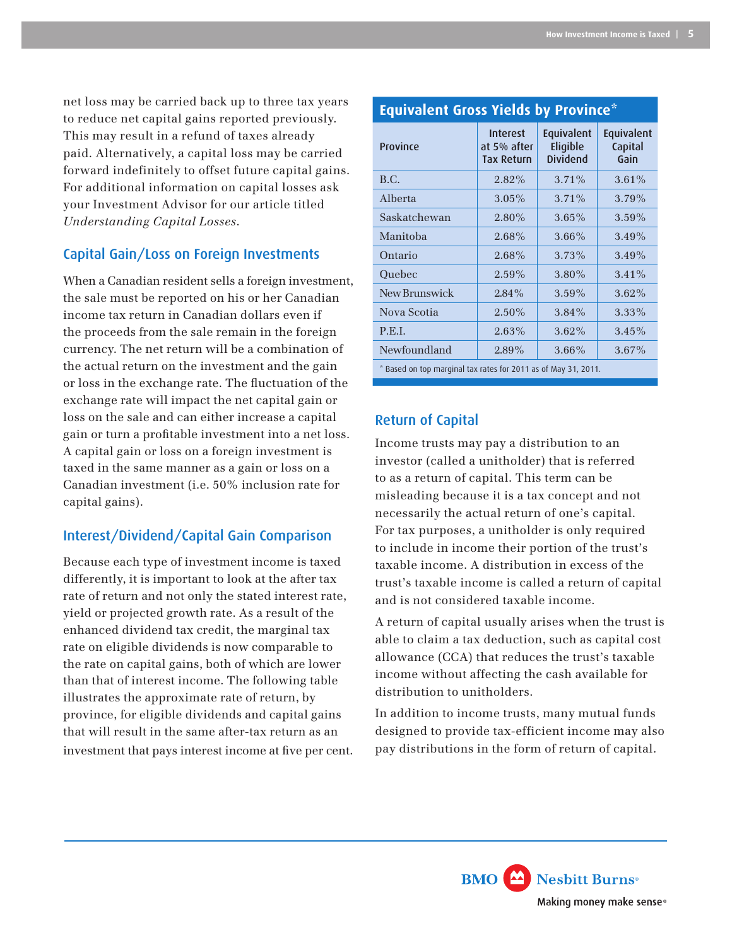net loss may be carried back up to three tax years to reduce net capital gains reported previously. This may result in a refund of taxes already paid. Alternatively, a capital loss may be carried forward indefinitely to offset future capital gains. For additional information on capital losses ask your Investment Advisor for our article titled *Understanding Capital Losses*.

# Capital Gain/Loss on Foreign Investments

When a Canadian resident sells a foreign investment, the sale must be reported on his or her Canadian income tax return in Canadian dollars even if the proceeds from the sale remain in the foreign currency. The net return will be a combination of the actual return on the investment and the gain or loss in the exchange rate. The fluctuation of the exchange rate will impact the net capital gain or loss on the sale and can either increase a capital gain or turn a profitable investment into a net loss. A capital gain or loss on a foreign investment is taxed in the same manner as a gain or loss on a Canadian investment (i.e. 50% inclusion rate for capital gains).

# Interest/Dividend/Capital Gain Comparison

Because each type of investment income is taxed differently, it is important to look at the after tax rate of return and not only the stated interest rate, yield or projected growth rate. As a result of the enhanced dividend tax credit, the marginal tax rate on eligible dividends is now comparable to the rate on capital gains, both of which are lower than that of interest income. The following table illustrates the approximate rate of return, by province, for eligible dividends and capital gains that will result in the same after-tax return as an investment that pays interest income at five per cent.

| Equivalent aross ricias by Frovince                            |                                                     |                                           |                               |  |  |
|----------------------------------------------------------------|-----------------------------------------------------|-------------------------------------------|-------------------------------|--|--|
| Province                                                       | <b>Interest</b><br>at 5% after<br><b>Tax Return</b> | Equivalent<br>Eligible<br><b>Dividend</b> | Equivalent<br>Capital<br>Gain |  |  |
| B.C.                                                           | 2.82%                                               | 3.71%                                     | $3.61\%$                      |  |  |
| Alberta                                                        | $3.05\%$                                            | 3.71%                                     | 3.79%                         |  |  |
| Saskatchewan                                                   | 2.80%                                               | $3.65\%$                                  | 3.59%                         |  |  |
| Manitoba                                                       | 2.68%                                               | 3.66%                                     | 3.49%                         |  |  |
| Ontario                                                        | 2.68%                                               | 3.73%                                     | 3.49%                         |  |  |
| Ouebec                                                         | 2.59%                                               | 3.80%                                     | 3.41%                         |  |  |
| New Brunswick                                                  | $2.84\%$                                            | 3.59%                                     | 3.62%                         |  |  |
| Nova Scotia                                                    | $2.50\%$                                            | $3.84\%$                                  | 3.33%                         |  |  |
| P.E.I.                                                         | 2.63%                                               | $3.62\%$                                  | 3.45%                         |  |  |
| Newfoundland                                                   | 2.89%                                               | 3.66%                                     | $3.67\%$                      |  |  |
| * Based on top marginal tax rates for 2011 as of May 31, 2011. |                                                     |                                           |                               |  |  |

**Equivalent Gross Yields by Province\***

# Return of Capital

Income trusts may pay a distribution to an investor (called a unitholder) that is referred to as a return of capital. This term can be misleading because it is a tax concept and not necessarily the actual return of one's capital. For tax purposes, a unitholder is only required to include in income their portion of the trust's taxable income. A distribution in excess of the trust's taxable income is called a return of capital and is not considered taxable income.

A return of capital usually arises when the trust is able to claim a tax deduction, such as capital cost allowance (CCA) that reduces the trust's taxable income without affecting the cash available for distribution to unitholders.

In addition to income trusts, many mutual funds designed to provide tax-efficient income may also pay distributions in the form of return of capital.

> **BMO** Nesbitt Burns<sup>®</sup> Making money make sense®